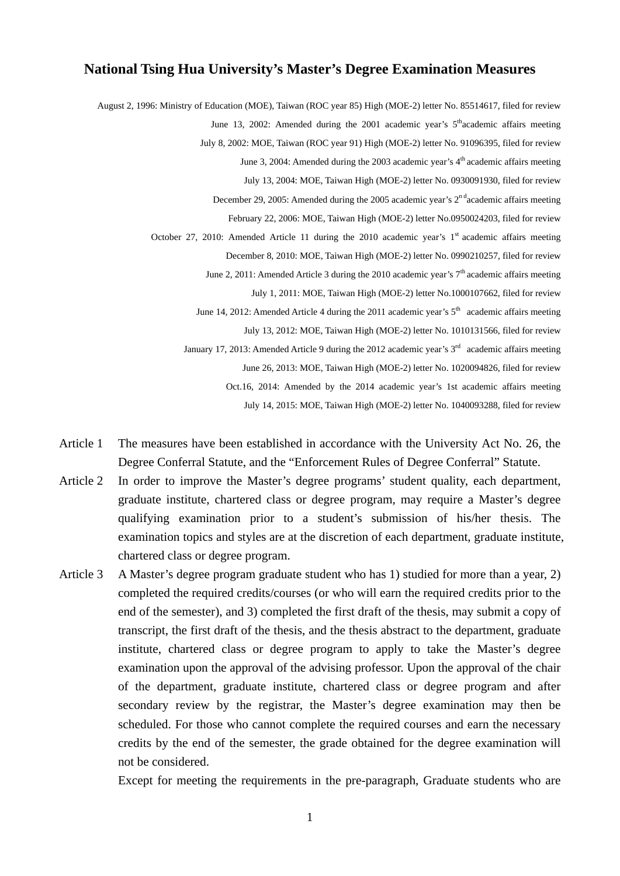## **National Tsing Hua University's Master's Degree Examination Measures**

August 2, 1996: Ministry of Education (MOE), Taiwan (ROC year 85) High (MOE-2) letter No. 85514617, filed for review June 13, 2002: Amended during the 2001 academic year's  $5<sup>th</sup>$ academic affairs meeting July 8, 2002: MOE, Taiwan (ROC year 91) High (MOE-2) letter No. 91096395, filed for review June 3, 2004: Amended during the 2003 academic year's  $4<sup>th</sup>$  academic affairs meeting July 13, 2004: MOE, Taiwan High (MOE-2) letter No. 0930091930, filed for review December 29, 2005: Amended during the 2005 academic year's 2<sup>n d</sup>academic affairs meeting February 22, 2006: MOE, Taiwan High (MOE-2) letter No.0950024203, filed for review October 27, 2010: Amended Article 11 during the 2010 academic year's  $1<sup>st</sup>$  academic affairs meeting December 8, 2010: MOE, Taiwan High (MOE-2) letter No. 0990210257, filed for review June 2, 2011: Amended Article 3 during the 2010 academic year's  $7<sup>th</sup>$  academic affairs meeting July 1, 2011: MOE, Taiwan High (MOE-2) letter No.1000107662, filed for review June 14, 2012: Amended Article 4 during the 2011 academic year's  $5<sup>th</sup>$  academic affairs meeting July 13, 2012: MOE, Taiwan High (MOE-2) letter No. 1010131566, filed for review January 17, 2013: Amended Article 9 during the 2012 academic year's  $3<sup>rd</sup>$  academic affairs meeting June 26, 2013: MOE, Taiwan High (MOE-2) letter No. 1020094826, filed for review Oct.16, 2014: Amended by the 2014 academic year's 1st academic affairs meeting July 14, 2015: MOE, Taiwan High (MOE-2) letter No. 1040093288, filed for review

- Article 1 The measures have been established in accordance with the University Act No. 26, the Degree Conferral Statute, and the "Enforcement Rules of Degree Conferral" Statute.
- Article 2 In order to improve the Master's degree programs' student quality, each department, graduate institute, chartered class or degree program, may require a Master's degree qualifying examination prior to a student's submission of his/her thesis. The examination topics and styles are at the discretion of each department, graduate institute, chartered class or degree program.
- Article 3 A Master's degree program graduate student who has 1) studied for more than a year, 2) completed the required credits/courses (or who will earn the required credits prior to the end of the semester), and 3) completed the first draft of the thesis, may submit a copy of transcript, the first draft of the thesis, and the thesis abstract to the department, graduate institute, chartered class or degree program to apply to take the Master's degree examination upon the approval of the advising professor. Upon the approval of the chair of the department, graduate institute, chartered class or degree program and after secondary review by the registrar, the Master's degree examination may then be scheduled. For those who cannot complete the required courses and earn the necessary credits by the end of the semester, the grade obtained for the degree examination will not be considered.

Except for meeting the requirements in the pre-paragraph, Graduate students who are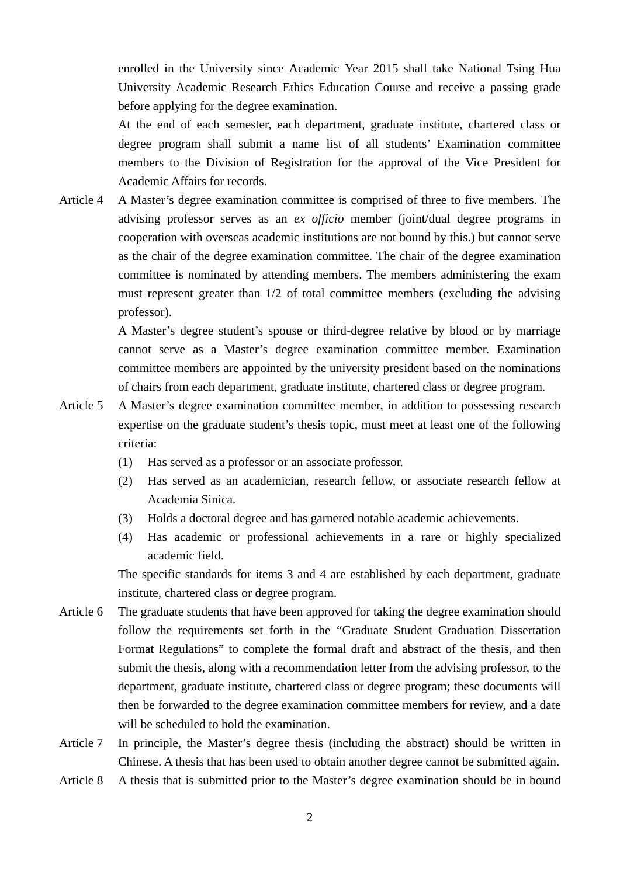enrolled in the University since Academic Year 2015 shall take National Tsing Hua University Academic Research Ethics Education Course and receive a passing grade before applying for the degree examination.

At the end of each semester, each department, graduate institute, chartered class or degree program shall submit a name list of all students' Examination committee members to the Division of Registration for the approval of the Vice President for Academic Affairs for records.

Article 4 A Master's degree examination committee is comprised of three to five members. The advising professor serves as an *ex officio* member (joint/dual degree programs in cooperation with overseas academic institutions are not bound by this.) but cannot serve as the chair of the degree examination committee. The chair of the degree examination committee is nominated by attending members. The members administering the exam must represent greater than 1/2 of total committee members (excluding the advising professor).

> A Master's degree student's spouse or third-degree relative by blood or by marriage cannot serve as a Master's degree examination committee member. Examination committee members are appointed by the university president based on the nominations of chairs from each department, graduate institute, chartered class or degree program.

- Article 5 A Master's degree examination committee member, in addition to possessing research expertise on the graduate student's thesis topic, must meet at least one of the following criteria:
	- (1) Has served as a professor or an associate professor.
	- (2) Has served as an academician, research fellow, or associate research fellow at Academia Sinica.
	- (3) Holds a doctoral degree and has garnered notable academic achievements.
	- (4) Has academic or professional achievements in a rare or highly specialized academic field.

The specific standards for items 3 and 4 are established by each department, graduate institute, chartered class or degree program.

- Article 6 The graduate students that have been approved for taking the degree examination should follow the requirements set forth in the "Graduate Student Graduation Dissertation Format Regulations" to complete the formal draft and abstract of the thesis, and then submit the thesis, along with a recommendation letter from the advising professor, to the department, graduate institute, chartered class or degree program; these documents will then be forwarded to the degree examination committee members for review, and a date will be scheduled to hold the examination.
- Article 7 In principle, the Master's degree thesis (including the abstract) should be written in Chinese. A thesis that has been used to obtain another degree cannot be submitted again.
- Article 8 A thesis that is submitted prior to the Master's degree examination should be in bound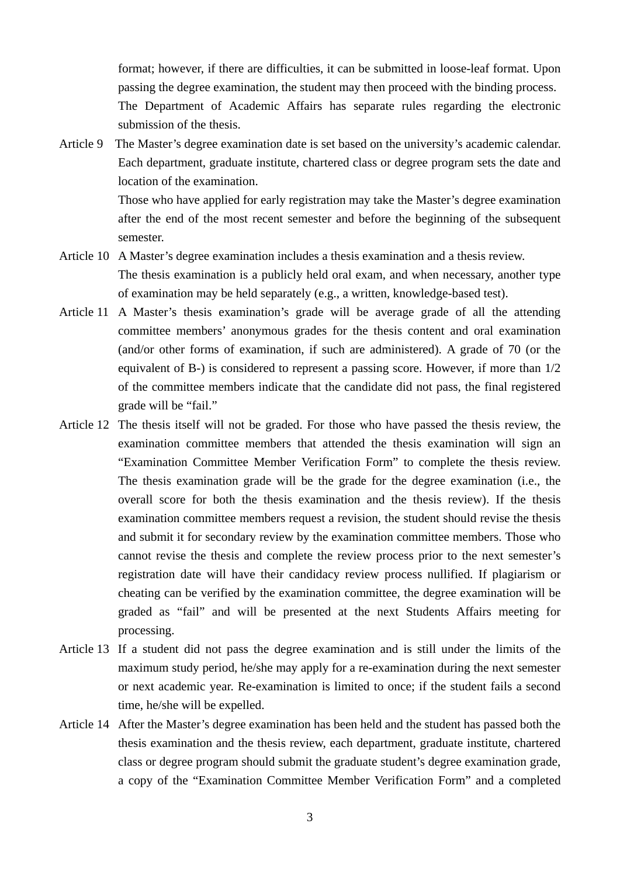format; however, if there are difficulties, it can be submitted in loose-leaf format. Upon passing the degree examination, the student may then proceed with the binding process. The Department of Academic Affairs has separate rules regarding the electronic submission of the thesis.

Article 9 The Master's degree examination date is set based on the university's academic calendar. Each department, graduate institute, chartered class or degree program sets the date and location of the examination.

> Those who have applied for early registration may take the Master's degree examination after the end of the most recent semester and before the beginning of the subsequent semester.

- Article 10 A Master's degree examination includes a thesis examination and a thesis review. The thesis examination is a publicly held oral exam, and when necessary, another type of examination may be held separately (e.g., a written, knowledge-based test).
- Article 11 A Master's thesis examination's grade will be average grade of all the attending committee members' anonymous grades for the thesis content and oral examination (and/or other forms of examination, if such are administered). A grade of 70 (or the equivalent of B-) is considered to represent a passing score. However, if more than 1/2 of the committee members indicate that the candidate did not pass, the final registered grade will be "fail."
- Article 12 The thesis itself will not be graded. For those who have passed the thesis review, the examination committee members that attended the thesis examination will sign an "Examination Committee Member Verification Form" to complete the thesis review. The thesis examination grade will be the grade for the degree examination (i.e., the overall score for both the thesis examination and the thesis review). If the thesis examination committee members request a revision, the student should revise the thesis and submit it for secondary review by the examination committee members. Those who cannot revise the thesis and complete the review process prior to the next semester's registration date will have their candidacy review process nullified. If plagiarism or cheating can be verified by the examination committee, the degree examination will be graded as "fail" and will be presented at the next Students Affairs meeting for processing.
- Article 13 If a student did not pass the degree examination and is still under the limits of the maximum study period, he/she may apply for a re-examination during the next semester or next academic year. Re-examination is limited to once; if the student fails a second time, he/she will be expelled.
- Article 14 After the Master's degree examination has been held and the student has passed both the thesis examination and the thesis review, each department, graduate institute, chartered class or degree program should submit the graduate student's degree examination grade, a copy of the "Examination Committee Member Verification Form" and a completed